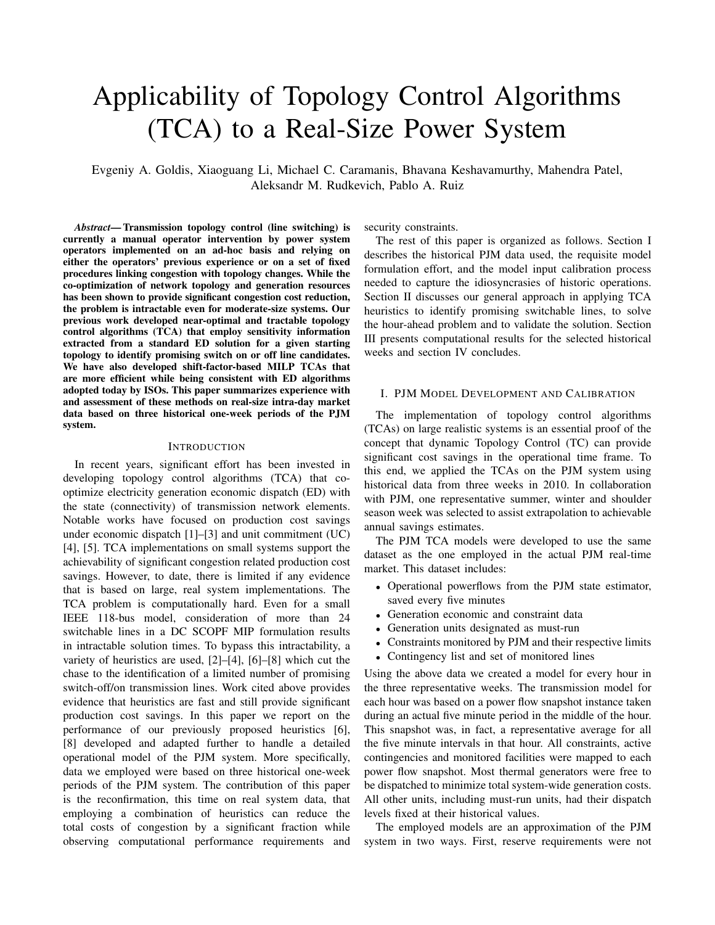# Applicability of Topology Control Algorithms (TCA) to a Real-Size Power System

Evgeniy A. Goldis, Xiaoguang Li, Michael C. Caramanis, Bhavana Keshavamurthy, Mahendra Patel, Aleksandr M. Rudkevich, Pablo A. Ruiz

*Abstract*— Transmission topology control (line switching) is currently a manual operator intervention by power system operators implemented on an ad-hoc basis and relying on either the operators' previous experience or on a set of fixed procedures linking congestion with topology changes. While the co-optimization of network topology and generation resources has been shown to provide significant congestion cost reduction, the problem is intractable even for moderate-size systems. Our previous work developed near-optimal and tractable topology control algorithms (TCA) that employ sensitivity information extracted from a standard ED solution for a given starting topology to identify promising switch on or off line candidates. We have also developed shift-factor-based MILP TCAs that are more efficient while being consistent with ED algorithms adopted today by ISOs. This paper summarizes experience with and assessment of these methods on real-size intra-day market data based on three historical one-week periods of the PJM system.

#### **INTRODUCTION**

In recent years, significant effort has been invested in developing topology control algorithms (TCA) that cooptimize electricity generation economic dispatch (ED) with the state (connectivity) of transmission network elements. Notable works have focused on production cost savings under economic dispatch [1]–[3] and unit commitment (UC) [4], [5]. TCA implementations on small systems support the achievability of significant congestion related production cost savings. However, to date, there is limited if any evidence that is based on large, real system implementations. The TCA problem is computationally hard. Even for a small IEEE 118-bus model, consideration of more than 24 switchable lines in a DC SCOPF MIP formulation results in intractable solution times. To bypass this intractability, a variety of heuristics are used, [2]–[4], [6]–[8] which cut the chase to the identification of a limited number of promising switch-off/on transmission lines. Work cited above provides evidence that heuristics are fast and still provide significant production cost savings. In this paper we report on the performance of our previously proposed heuristics [6], [8] developed and adapted further to handle a detailed operational model of the PJM system. More specifically, data we employed were based on three historical one-week periods of the PJM system. The contribution of this paper is the reconfirmation, this time on real system data, that employing a combination of heuristics can reduce the total costs of congestion by a significant fraction while observing computational performance requirements and security constraints.

The rest of this paper is organized as follows. Section I describes the historical PJM data used, the requisite model formulation effort, and the model input calibration process needed to capture the idiosyncrasies of historic operations. Section II discusses our general approach in applying TCA heuristics to identify promising switchable lines, to solve the hour-ahead problem and to validate the solution. Section III presents computational results for the selected historical weeks and section IV concludes.

#### I. PJM MODEL DEVELOPMENT AND CALIBRATION

The implementation of topology control algorithms (TCAs) on large realistic systems is an essential proof of the concept that dynamic Topology Control (TC) can provide significant cost savings in the operational time frame. To this end, we applied the TCAs on the PJM system using historical data from three weeks in 2010. In collaboration with PJM, one representative summer, winter and shoulder season week was selected to assist extrapolation to achievable annual savings estimates.

The PJM TCA models were developed to use the same dataset as the one employed in the actual PJM real-time market. This dataset includes:

- Operational powerflows from the PJM state estimator, saved every five minutes
- Generation economic and constraint data
- Generation units designated as must-run
- Constraints monitored by PJM and their respective limits
- Contingency list and set of monitored lines

Using the above data we created a model for every hour in the three representative weeks. The transmission model for each hour was based on a power flow snapshot instance taken during an actual five minute period in the middle of the hour. This snapshot was, in fact, a representative average for all the five minute intervals in that hour. All constraints, active contingencies and monitored facilities were mapped to each power flow snapshot. Most thermal generators were free to be dispatched to minimize total system-wide generation costs. All other units, including must-run units, had their dispatch levels fixed at their historical values.

The employed models are an approximation of the PJM system in two ways. First, reserve requirements were not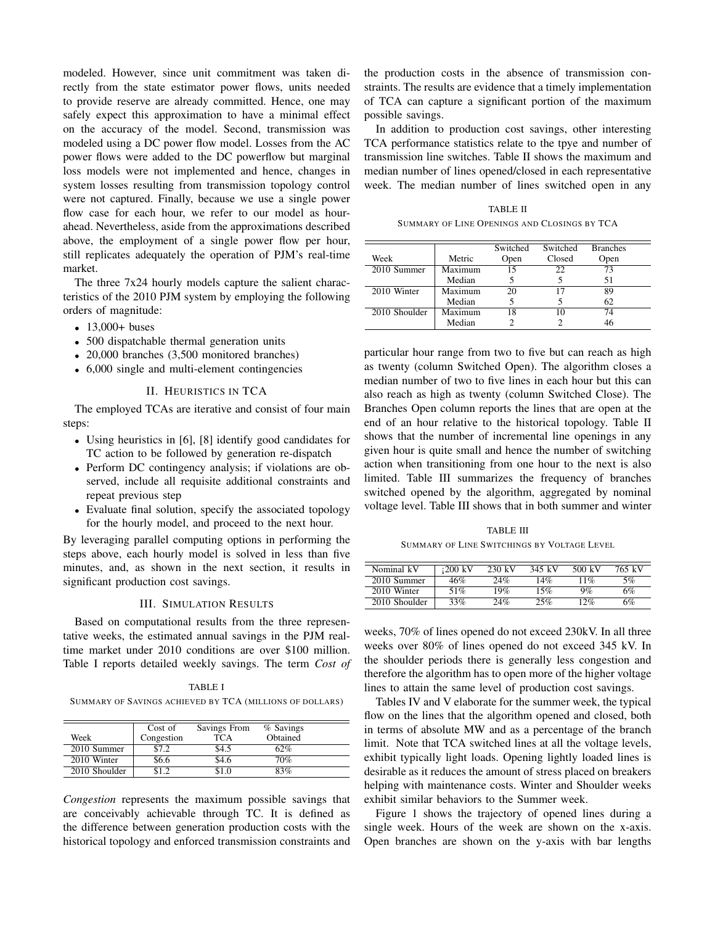modeled. However, since unit commitment was taken directly from the state estimator power flows, units needed to provide reserve are already committed. Hence, one may safely expect this approximation to have a minimal effect on the accuracy of the model. Second, transmission was modeled using a DC power flow model. Losses from the AC power flows were added to the DC powerflow but marginal loss models were not implemented and hence, changes in system losses resulting from transmission topology control were not captured. Finally, because we use a single power flow case for each hour, we refer to our model as hourahead. Nevertheless, aside from the approximations described above, the employment of a single power flow per hour, still replicates adequately the operation of PJM's real-time market.

The three 7x24 hourly models capture the salient characteristics of the 2010 PJM system by employing the following orders of magnitude:

- 13,000+ buses
- 500 dispatchable thermal generation units
- 20,000 branches (3,500 monitored branches)
- 6,000 single and multi-element contingencies

## II. HEURISTICS IN TCA

The employed TCAs are iterative and consist of four main steps:

- Using heuristics in [6], [8] identify good candidates for TC action to be followed by generation re-dispatch
- Perform DC contingency analysis; if violations are observed, include all requisite additional constraints and repeat previous step
- Evaluate final solution, specify the associated topology for the hourly model, and proceed to the next hour.

By leveraging parallel computing options in performing the steps above, each hourly model is solved in less than five minutes, and, as shown in the next section, it results in significant production cost savings.

## III. SIMULATION RESULTS

Based on computational results from the three representative weeks, the estimated annual savings in the PJM realtime market under 2010 conditions are over \$100 million. Table I reports detailed weekly savings. The term *Cost of*

TABLE I SUMMARY OF SAVINGS ACHIEVED BY TCA (MILLIONS OF DOLLARS)

|               | Cost of    | Savings From | % Savings |
|---------------|------------|--------------|-----------|
| Week          | Congestion | <b>TCA</b>   | Obtained  |
| 2010 Summer   | \$7.2      | \$4.5        | 62%       |
| 2010 Winter   | \$6.6      | \$4.6        | 70%       |
| 2010 Shoulder | \$1.2      | S1.0         | 83%       |

*Congestion* represents the maximum possible savings that are conceivably achievable through TC. It is defined as the difference between generation production costs with the historical topology and enforced transmission constraints and

the production costs in the absence of transmission constraints. The results are evidence that a timely implementation of TCA can capture a significant portion of the maximum possible savings.

In addition to production cost savings, other interesting TCA performance statistics relate to the tpye and number of transmission line switches. Table II shows the maximum and median number of lines opened/closed in each representative week. The median number of lines switched open in any

TABLE II SUMMARY OF LINE OPENINGS AND CLOSINGS BY TCA

|               |         | Switched | Switched | <b>Branches</b> |
|---------------|---------|----------|----------|-----------------|
| Week          | Metric  | Open     | Closed   | Open            |
| 2010 Summer   | Maximum | 15       | フフ       | 73              |
|               | Median  |          |          | 51              |
| 2010 Winter   | Maximum | 20       |          | 89              |
|               | Median  |          |          | 62              |
| 2010 Shoulder | Maximum | 18       |          | 74              |
|               | Median  |          |          | 46              |

particular hour range from two to five but can reach as high as twenty (column Switched Open). The algorithm closes a median number of two to five lines in each hour but this can also reach as high as twenty (column Switched Close). The Branches Open column reports the lines that are open at the end of an hour relative to the historical topology. Table II shows that the number of incremental line openings in any given hour is quite small and hence the number of switching action when transitioning from one hour to the next is also limited. Table III summarizes the frequency of branches switched opened by the algorithm, aggregated by nominal voltage level. Table III shows that in both summer and winter

TABLE III SUMMARY OF LINE SWITCHINGS BY VOLTAGE LEVEL

| Nominal kV    | $\cdot 200~{\rm kV}$ | $230 \text{ kV}$ | 345 kV | 500 kV | 765 kV |
|---------------|----------------------|------------------|--------|--------|--------|
| 2010 Summer   | 46%                  | 24%              | 14%    | $11\%$ | 5%     |
| 2010 Winter   | 51%                  | 19%              | 15%    | 9%     | 6%     |
| 2010 Shoulder | 33%                  | 24%              | 25%    | 12%    | 6%     |

weeks, 70% of lines opened do not exceed 230kV. In all three weeks over 80% of lines opened do not exceed 345 kV. In the shoulder periods there is generally less congestion and therefore the algorithm has to open more of the higher voltage lines to attain the same level of production cost savings.

Tables IV and V elaborate for the summer week, the typical flow on the lines that the algorithm opened and closed, both in terms of absolute MW and as a percentage of the branch limit. Note that TCA switched lines at all the voltage levels, exhibit typically light loads. Opening lightly loaded lines is desirable as it reduces the amount of stress placed on breakers helping with maintenance costs. Winter and Shoulder weeks exhibit similar behaviors to the Summer week.

Figure 1 shows the trajectory of opened lines during a single week. Hours of the week are shown on the x-axis. Open branches are shown on the y-axis with bar lengths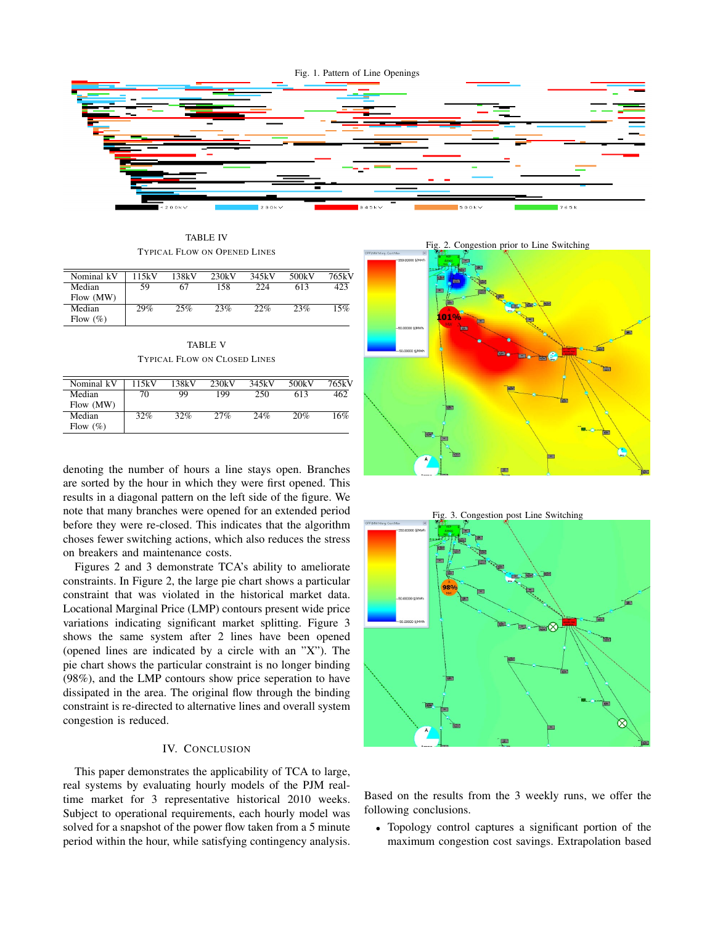

TABLE IV TYPICAL FLOW ON OPENED LINES

| Nominal kV   | 115kV | 138kV | 230kV | 345kV | 500kV | 765kV |
|--------------|-------|-------|-------|-------|-------|-------|
| Median       | 59    |       | 158   | 224   | 613   | 423   |
| Flow (MW)    |       |       |       |       |       |       |
| Median       | 29%   | 25%   | 23%   | 22%   | 23%   | 15%   |
| Flow $(\% )$ |       |       |       |       |       |       |

TABLE V TYPICAL FLOW ON CLOSED LINES

| Nominal kV   | 115kV | 138kV | 230kV | 345kV | 500kV | 765kV |
|--------------|-------|-------|-------|-------|-------|-------|
| Median       | 70    | 99    | 199   | 250   | 613   | 462   |
| Flow (MW)    |       |       |       |       |       |       |
| Median       | 32%   | 32%   | 27%   | 24%   | 20%   | 16%   |
| Flow $(\% )$ |       |       |       |       |       |       |

denoting the number of hours a line stays open. Branches are sorted by the hour in which they were first opened. This results in a diagonal pattern on the left side of the figure. We note that many branches were opened for an extended period before they were re-closed. This indicates that the algorithm choses fewer switching actions, which also reduces the stress on breakers and maintenance costs.

Figures 2 and 3 demonstrate TCA's ability to ameliorate constraints. In Figure 2, the large pie chart shows a particular constraint that was violated in the historical market data. Locational Marginal Price (LMP) contours present wide price variations indicating significant market splitting. Figure 3 shows the same system after 2 lines have been opened (opened lines are indicated by a circle with an "X"). The pie chart shows the particular constraint is no longer binding (98%), and the LMP contours show price seperation to have dissipated in the area. The original flow through the binding constraint is re-directed to alternative lines and overall system congestion is reduced.

## IV. CONCLUSION

This paper demonstrates the applicability of TCA to large, real systems by evaluating hourly models of the PJM realtime market for 3 representative historical 2010 weeks. Subject to operational requirements, each hourly model was solved for a snapshot of the power flow taken from a 5 minute period within the hour, while satisfying contingency analysis.



Based on the results from the 3 weekly runs, we offer the following conclusions.

• Topology control captures a significant portion of the maximum congestion cost savings. Extrapolation based

Fig. 2. Congestion prior to Line Switching